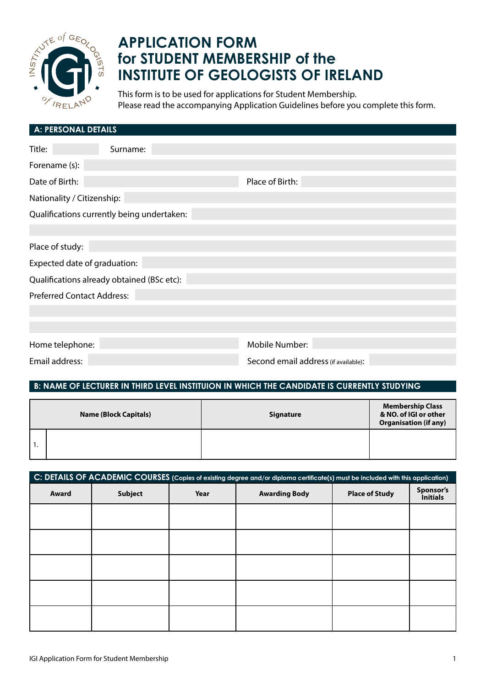

# **APPLICATION FORM for STUDENT MEMBERSHIP of the INSTITUTE OF GEOLOGISTS OF IRELAND**

This form is to be used for applications for Student Membership. Please read the accompanying Application Guidelines before you complete this form.

| <b>A: PERSONAL DETAILS</b>                 |                                      |  |  |  |  |  |
|--------------------------------------------|--------------------------------------|--|--|--|--|--|
| Title:<br>Surname:                         |                                      |  |  |  |  |  |
| Forename (s):                              |                                      |  |  |  |  |  |
| Date of Birth:                             | Place of Birth:                      |  |  |  |  |  |
| Nationality / Citizenship:                 |                                      |  |  |  |  |  |
| Qualifications currently being undertaken: |                                      |  |  |  |  |  |
|                                            |                                      |  |  |  |  |  |
| Place of study:                            |                                      |  |  |  |  |  |
| Expected date of graduation:               |                                      |  |  |  |  |  |
| Qualifications already obtained (BSc etc): |                                      |  |  |  |  |  |
| <b>Preferred Contact Address:</b>          |                                      |  |  |  |  |  |
|                                            |                                      |  |  |  |  |  |
|                                            |                                      |  |  |  |  |  |
| Home telephone:                            | Mobile Number:                       |  |  |  |  |  |
| Email address:                             | Second email address (if available): |  |  |  |  |  |

## **B: NAME OF LECTURER IN THIRD LEVEL INSTITUION IN WHICH THE CANDIDATE IS CURRENTLY STUDYING**

| <b>Name (Block Capitals)</b> |  | <b>Signature</b> | <b>Membership Class</b><br>& NO. of IGI or other<br><b>Organisation (if any)</b> |
|------------------------------|--|------------------|----------------------------------------------------------------------------------|
|                              |  |                  |                                                                                  |

| C: DETAILS OF ACADEMIC COURSES (Copies of existing degree and/or diploma certificate(s) must be included with this application) |                |      |                      |                       |                              |  |  |
|---------------------------------------------------------------------------------------------------------------------------------|----------------|------|----------------------|-----------------------|------------------------------|--|--|
| Award                                                                                                                           | <b>Subject</b> | Year | <b>Awarding Body</b> | <b>Place of Study</b> | Sponsor's<br><b>Initials</b> |  |  |
|                                                                                                                                 |                |      |                      |                       |                              |  |  |
|                                                                                                                                 |                |      |                      |                       |                              |  |  |
|                                                                                                                                 |                |      |                      |                       |                              |  |  |
|                                                                                                                                 |                |      |                      |                       |                              |  |  |
|                                                                                                                                 |                |      |                      |                       |                              |  |  |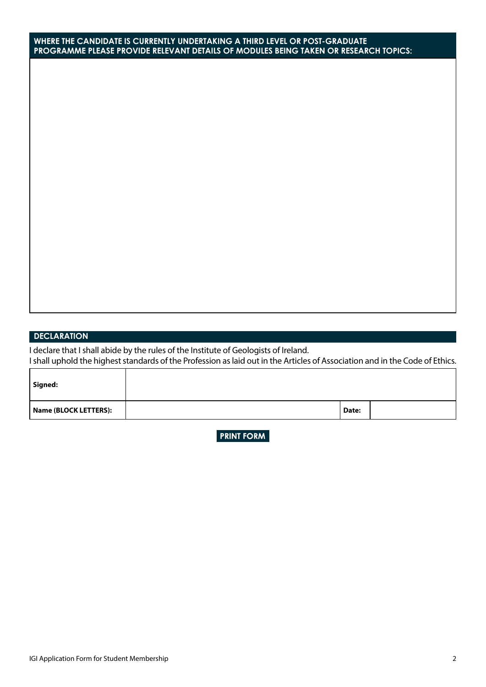#### **WHERE THE CANDIDATE IS CURRENTLY UNDERTAKING A THIRD LEVEL OR POST-GRADUATE PROGRAMME PLEASE PROVIDE RELEVANT DETAILS OF MODULES BEING TAKEN OR RESEARCH TOPICS:**

### **DECLARATION**

I declare that I shall abide by the rules of the Institute of Geologists of Ireland. I shall uphold the highest standards of the Profession as laid out in the Articles of Association and in the Code of Ethics.

| Signed:               |       |  |
|-----------------------|-------|--|
| Name (BLOCK LETTERS): | Date: |  |

**PRINT FORM**